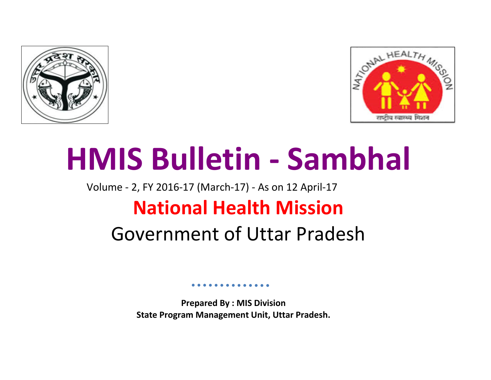



# **HMIS Bulletin - Sambhal**

## Volume - 2, FY 2016-17 (March-17) - As on 12 April-17 **National Health Mission**

### Government of Uttar Pradesh

**Prepared By : MIS Division State Program Management Unit, Uttar Pradesh.**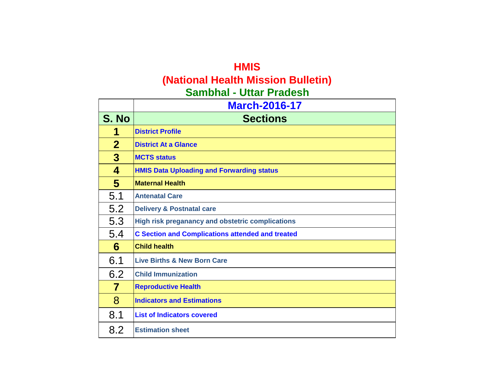### **HMIS (National Health Mission Bulletin) Sambhal - Uttar Pradesh**

|                | <b>March-2016-17</b>                                    |
|----------------|---------------------------------------------------------|
| S. No          | <b>Sections</b>                                         |
| 1              | <b>District Profile</b>                                 |
| $\mathbf{2}$   | <b>District At a Glance</b>                             |
| $\overline{3}$ | <b>MCTS status</b>                                      |
| 4              | <b>HMIS Data Uploading and Forwarding status</b>        |
| $5\phantom{1}$ | <b>Maternal Health</b>                                  |
| 5.1            | <b>Antenatal Care</b>                                   |
| 5.2            | <b>Delivery &amp; Postnatal care</b>                    |
| 5.3            | High risk preganancy and obstetric complications        |
| 5.4            | <b>C Section and Complications attended and treated</b> |
| 6              | <b>Child health</b>                                     |
| 6.1            | <b>Live Births &amp; New Born Care</b>                  |
| 6.2            | <b>Child Immunization</b>                               |
| 7              | <b>Reproductive Health</b>                              |
| 8              | <b>Indicators and Estimations</b>                       |
| 8.1            | <b>List of Indicators covered</b>                       |
| 8.2            | <b>Estimation sheet</b>                                 |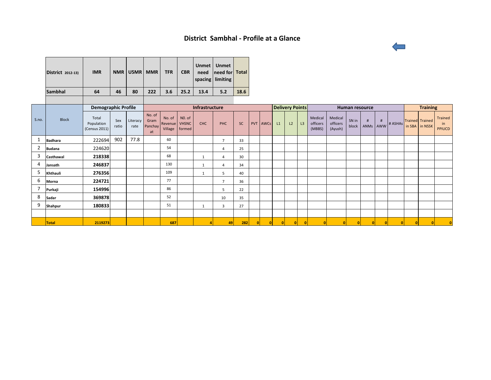#### **District Sambhal - Profile at a Glance**

| <b>District</b> 2012-13) | <b>IMR</b> | <b>NMR</b> | U5MR | <b>MMR</b> | <b>TFR</b> | <b>CBR</b> | Unmet  <br>need | <b>Unmet</b><br>need for Total<br>spacing limiting |      |
|--------------------------|------------|------------|------|------------|------------|------------|-----------------|----------------------------------------------------|------|
| <b>Sambhal</b>           | 64         | 46         | 80   | 222        | 3.6        | 25.2       | 13.4            | 5.2                                                | 18.6 |
|                          |            |            |      |            |            |            |                 |                                                    |      |

|                |               | <b>Demographic Profile</b>           |              |                  | Infrastructure                  |                              |                                  |              |                | <b>Delivery Points</b> |          |    | <b>Human resource</b> |    |                               |                                | <b>Training</b> |               |   |         |  |                                   |                                |
|----------------|---------------|--------------------------------------|--------------|------------------|---------------------------------|------------------------------|----------------------------------|--------------|----------------|------------------------|----------|----|-----------------------|----|-------------------------------|--------------------------------|-----------------|---------------|---|---------|--|-----------------------------------|--------------------------------|
| S.no.          | <b>Block</b>  | Total<br>Population<br>(Census 2011) | Sex<br>ratio | Literacy<br>rate | No. of<br>Gram<br>Panchay<br>at | No. of<br>Revenue<br>Village | NO. of<br><b>VHSNC</b><br>formed | <b>CHC</b>   | <b>PHC</b>     | <b>SC</b>              | PVT AWCs | L1 | L2                    | L3 | Medical<br>officers<br>(MBBS) | Medical<br>officers<br>(Ayush) | SN in<br>block  | #<br>ANMs AWW | # | # ASHAs |  | Trained Trained<br>in SBA in NSSK | Trained<br>in<br><b>PPIUCD</b> |
|                | Badhara       | 222694                               | 902          | 77.8             |                                 | 60                           |                                  |              | $\overline{7}$ | 33                     |          |    |                       |    |                               |                                |                 |               |   |         |  |                                   |                                |
| $\overline{2}$ | <b>Budana</b> | 224620                               |              |                  |                                 | 54                           |                                  |              | 4              | 25                     |          |    |                       |    |                               |                                |                 |               |   |         |  |                                   |                                |
| 3              | Casthawal     | 218338                               |              |                  |                                 | 68                           |                                  |              | 4              | 30                     |          |    |                       |    |                               |                                |                 |               |   |         |  |                                   |                                |
| 4              | Jansath       | 246837                               |              |                  |                                 | 130                          |                                  | $\mathbf{1}$ | 4              | 34                     |          |    |                       |    |                               |                                |                 |               |   |         |  |                                   |                                |
| 5              | Khthauli      | 276356                               |              |                  |                                 | 109                          |                                  | Í            | 5              | 40                     |          |    |                       |    |                               |                                |                 |               |   |         |  |                                   |                                |
| 6              | Morna         | 224721                               |              |                  |                                 | 77                           |                                  |              | $\overline{7}$ | 36                     |          |    |                       |    |                               |                                |                 |               |   |         |  |                                   |                                |
|                | Purkaji       | 154996                               |              |                  |                                 | 86                           |                                  |              | $\overline{5}$ | 22                     |          |    |                       |    |                               |                                |                 |               |   |         |  |                                   |                                |
| 8              | Sadar         | 369878                               |              |                  |                                 | 52                           |                                  |              | 10             | 35                     |          |    |                       |    |                               |                                |                 |               |   |         |  |                                   |                                |
| 9              | Shahpur       | 180833                               |              |                  |                                 | 51                           |                                  | í            | $\overline{3}$ | 27                     |          |    |                       |    |                               |                                |                 |               |   |         |  |                                   |                                |
|                |               |                                      |              |                  |                                 |                              |                                  |              |                |                        |          |    |                       |    |                               |                                |                 |               |   |         |  |                                   |                                |
|                | <b>Total</b>  | 2119273                              |              |                  |                                 | 687                          |                                  |              | 49             | 282                    |          |    |                       |    |                               |                                | $\Omega$        |               |   |         |  |                                   |                                |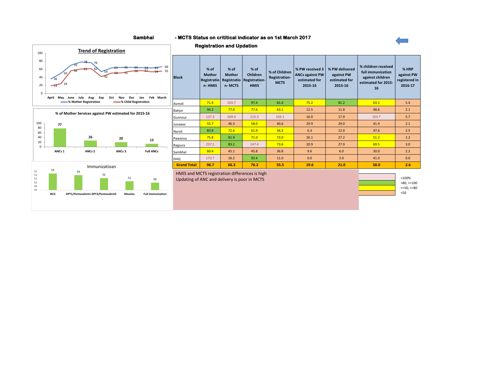#### **Sambhal - MCTS Status on crititical indicator as on 1st March 2017**

**Registration and Updation**







| <b>Block</b>       | $%$ of<br><b>Mother</b><br>Registratio<br>n-HMIS | $%$ of<br><b>Mother</b><br>Registratio<br>n-MCTS | $%$ of<br><b>Children</b><br><b>Registration-</b><br><b>HMIS</b> | % of Children<br>Registration-<br><b>MCTS</b> | % PW received 3<br><b>ANCs against PW</b><br>estimated for<br>2015-16 | % PW delivered<br>against PW<br>estimated for<br>2015-16 | % children received<br>full immunization<br>against children<br>estimated for 2015-<br>16 | % HRP<br>against PW<br>registered in<br>2016-17 |
|--------------------|--------------------------------------------------|--------------------------------------------------|------------------------------------------------------------------|-----------------------------------------------|-----------------------------------------------------------------------|----------------------------------------------------------|-------------------------------------------------------------------------------------------|-------------------------------------------------|
| Asmoli             | 71.4                                             | 103.7                                            | 97.4                                                             | 81.6                                          | 75.2                                                                  | 81.2                                                     | 63.1                                                                                      | 5.4                                             |
| Bahjoi             | 94.2                                             | 77.0                                             | 77.6                                                             | 63.1                                          | 12.5                                                                  | 11.8                                                     | 48.6                                                                                      | 2.1                                             |
| Gunnour            | 127.3                                            | 109.4                                            | 115.3                                                            | 103.1                                         | 16.0                                                                  | 17.9                                                     | 103.7                                                                                     | 5.7                                             |
| Junawai            | 55.7                                             | 46.3                                             | 58.0                                                             | 40.6                                          | 29.9                                                                  | 29.0                                                     | 41.4                                                                                      | 2.1                                             |
| Naroli             | 83.8                                             | 72.6                                             | 61.9                                                             | 56.3                                          | 6.3                                                                   | 12.0                                                     | 47.6                                                                                      | 2.5                                             |
| Pawansa            | 75.8                                             | 81.9                                             | 71.0                                                             | 73.0                                          | 26.1                                                                  | 27.2                                                     | 51.2                                                                                      | 2.2                                             |
| Rajpura            | 237.1                                            | 83.2                                             | 147.4                                                            | 73.6                                          | 20.9                                                                  | 27.9                                                     | 69.5                                                                                      | 3.0                                             |
| Sambhal            | 60.4                                             | 45.1                                             | 45.8                                                             | 36.8                                          | 9.6                                                                   | 6.0                                                      | 30.0                                                                                      | 2.2                                             |
| DHQ                | 173.7                                            | 16.2                                             | 92.4                                                             | 11.0                                          | 0.0                                                                   | 2.0                                                      | 41.0                                                                                      | 0.0                                             |
| <b>Grand Total</b> | 96.7                                             | 66.3                                             | 76.2                                                             | 55.5                                          | 19.6                                                                  | 21.0                                                     | 50.0                                                                                      | 2.6                                             |

HMIS and MCTS registration differences is high Updating of ANC and delivery is poor in MCTS

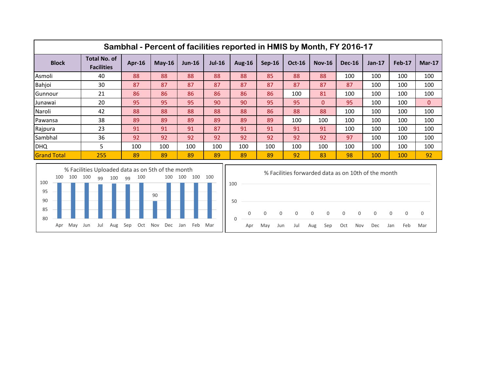|                    | Sambhal - Percent of facilities reported in HMIS by Month, FY 2016-17 |        |          |          |               |               |          |               |               |               |          |        |                |  |
|--------------------|-----------------------------------------------------------------------|--------|----------|----------|---------------|---------------|----------|---------------|---------------|---------------|----------|--------|----------------|--|
| <b>Block</b>       | <b>Total No. of</b><br><b>Facilities</b>                              | Apr-16 | $May-16$ | $Jun-16$ | <b>Jul-16</b> | <b>Aug-16</b> | $Sep-16$ | <b>Oct-16</b> | <b>Nov-16</b> | <b>Dec-16</b> | $Jan-17$ | Feb-17 | $Mar-17$       |  |
| Asmoli             | 40                                                                    | 88     | 88       | 88       | 88            | 88            | 85       | 88            | 88            | 100           | 100      | 100    | 100            |  |
| Bahjoi             | 30                                                                    | 87     | 87       | 87       | 87            | 87            | 87       | 87            | 87            | 87            | 100      | 100    | 100            |  |
| Gunnour            | 21                                                                    | 86     | 86       | 86       | 86            | 86            | 86       | 100           | 81            | 100           | 100      | 100    | 100            |  |
| Junawai            | 20                                                                    | 95     | 95       | 95       | 90            | 90            | 95       | 95            | 0             | 95            | 100      | 100    | $\overline{0}$ |  |
| Naroli             | 42                                                                    | 88     | 88       | 88       | 88            | 88            | 86       | 88            | 88            | 100           | 100      | 100    | 100            |  |
| Pawansa            | 38                                                                    | 89     | 89       | 89       | 89            | 89            | 89       | 100           | 100           | 100           | 100      | 100    | 100            |  |
| Rajpura            | 23                                                                    | 91     | 91       | 91       | 87            | 91            | 91       | 91            | 91            | 100           | 100      | 100    | 100            |  |
| Sambhal            | 36                                                                    | 92     | 92       | 92       | 92            | 92            | 92       | 92            | 92            | 97            | 100      | 100    | 100            |  |
| <b>DHQ</b>         | 5                                                                     | 100    | 100      | 100      | 100           | 100           | 100      | 100           | 100           | 100           | 100      | 100    | 100            |  |
| <b>Grand Total</b> | 255                                                                   | 89     | 89       | 89       | 89            | 89            | 89       | 92            | 83            | 98            | 100      | 100    | 92             |  |



|          | % Facilities forwarded data as on 10th of the month |                   |     |     |                                                             |     |     |     |     |     |                |     |
|----------|-----------------------------------------------------|-------------------|-----|-----|-------------------------------------------------------------|-----|-----|-----|-----|-----|----------------|-----|
| 100      |                                                     |                   |     |     |                                                             |     |     |     |     |     |                |     |
| 50       |                                                     |                   |     |     |                                                             |     |     |     |     |     |                |     |
| $\Omega$ | $\overline{0}$                                      | $0 \qquad \qquad$ |     |     | $\begin{matrix} 0 & 0 & 0 & 0 & 0 & 0 & 0 & 0 \end{matrix}$ |     |     |     |     |     | $\overline{0}$ | 0   |
|          | Apr                                                 | May               | Jun | Jul | Aug                                                         | Sep | Oct | Nov | Dec | Jan | Feb            | Mar |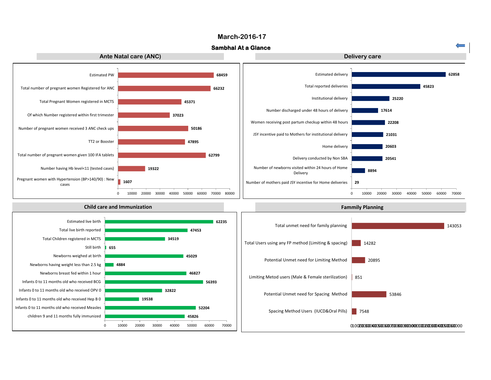#### **March-2016-17**

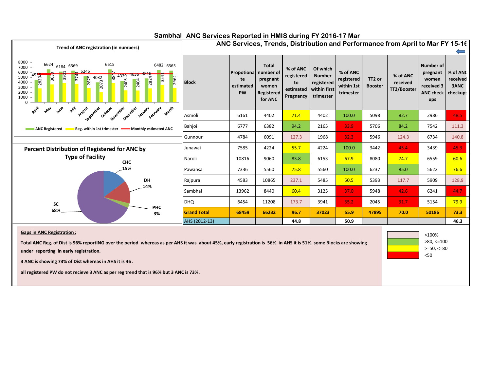

<50

>=50, <=80

#### Sambhal ANC Services Reported in HMIS during FY 2016-17 Mar

**Total ANC Reg. of Dist is 96% reportING over the period whereas as per AHS it was about 45%, early registration is 56% in AHS it is 51%. some Blocks are showing under reporting in early registration.**

**3 ANC is showing 73% of Dist whereas in AHS it is 46 .**

**all registered PW do not recieve 3 ANC as per reg trend that is 96% but 3 ANC is 73%.**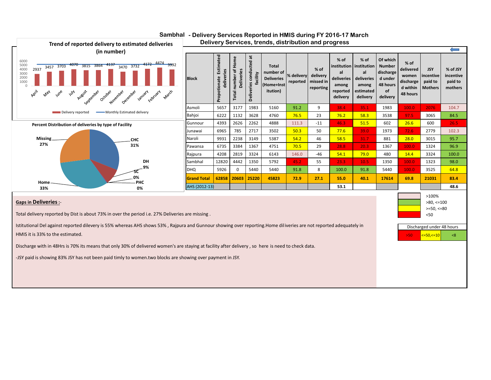

#### Sambhal - Delivery Services Reported in HMIS during FY 2016-17 March

 $>50$   $<=50,<=10$   $<8$ Discharged under 48 hours

Istitutional Del against reported dilevery is 55% whereas AHS shows 53% , Rajpura and Gunnour showing over reporting.Home diliveries are not reported adequately in

HMIS it is 33% to the estimated.

Discharge with in 48Hrs is 70% its means that only 30% of delivered women's are staying at facility after delivery , so here is need to check data.

-JSY paid is showing 83% JSY has not been paid timly to women.two blocks are showing over payment in JSY.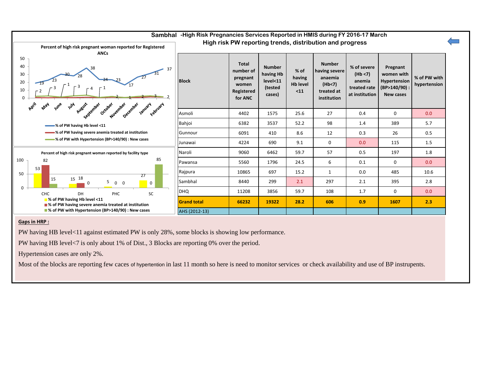

#### **Gaps in HRP :**

PW having HB level<11 against estimated PW is only 28%, some blocks is showing low performance.

PW having HB level<7 is only about 1% of Dist., 3 Blocks are reporting 0% over the period.

Hypertension cases are only 2%.

Most of the blocks are reporting few caces of hypertention in last 11 month so here is need to monitor services or check availability and use of BP instrupents.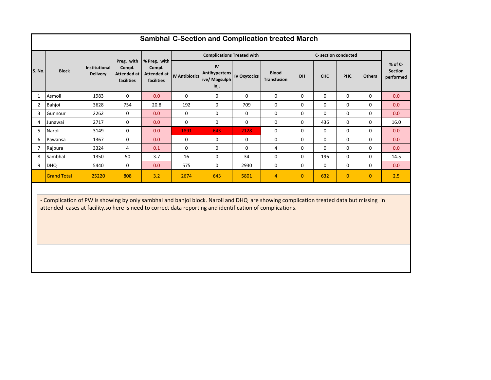|                | <b>Sambhal C-Section and Complication treated March</b> |                                         |                                                   |                                                     |                       |                                                     |                     |                                    |              |             |                      |                |                                        |
|----------------|---------------------------------------------------------|-----------------------------------------|---------------------------------------------------|-----------------------------------------------------|-----------------------|-----------------------------------------------------|---------------------|------------------------------------|--------------|-------------|----------------------|----------------|----------------------------------------|
|                |                                                         |                                         |                                                   |                                                     |                       | <b>Complications Treated with</b>                   |                     |                                    |              |             | C- section conducted |                |                                        |
| S. No.         | <b>Block</b>                                            | <b>Institutional</b><br><b>Delivery</b> | Preg. with<br>Compl.<br>Attended at<br>facilities | % Preg. with<br>Compl.<br>Attended at<br>facilities | <b>IV Antibiotics</b> | IV<br><b>Antihypertens</b><br>ive/ Magsulph<br>Inj. | <b>IV Oxytocics</b> | <b>Blood</b><br><b>Transfusion</b> | DH           | <b>CHC</b>  | <b>PHC</b>           | <b>Others</b>  | % of C-<br><b>Section</b><br>performed |
| 1              | Asmoli                                                  | 1983                                    | $\Omega$                                          | 0.0                                                 | $\Omega$              | 0                                                   | 0                   | $\mathbf{0}$                       | 0            | $\Omega$    | $\mathbf 0$          | $\Omega$       | 0.0                                    |
| $\overline{2}$ | Bahjoi                                                  | 3628                                    | 754                                               | 20.8                                                | 192                   | 0                                                   | 709                 | 0                                  | 0            | 0           | $\mathbf 0$          | $\Omega$       | 0.0                                    |
| 3              | Gunnour                                                 | 2262                                    | 0                                                 | 0.0                                                 | $\mathbf 0$           | $\mathbf 0$                                         | $\mathbf 0$         | 0                                  | $\mathbf 0$  | 0           | $\mathbf{0}$         | $\Omega$       | 0.0                                    |
| 4              | Junawai                                                 | 2717                                    | 0                                                 | 0.0                                                 | $\mathbf{0}$          | $\mathbf 0$                                         | $\mathbf 0$         | $\mathbf{0}$                       | $\mathbf 0$  | 436         | $\mathbf{0}$         | $\Omega$       | 16.0                                   |
| 5              | Naroli                                                  | 3149                                    | $\mathbf 0$                                       | 0.0                                                 | 1891                  | 643                                                 | 2128                | 0                                  | $\mathbf 0$  | $\Omega$    | $\mathbf{0}$         | $\Omega$       | 0.0                                    |
| 6              | Pawansa                                                 | 1367                                    | 0                                                 | 0.0                                                 | 0                     | 0                                                   | 0                   | $\mathbf{0}$                       | 0            | 0           | $\mathbf 0$          | 0              | 0.0                                    |
| $\overline{7}$ | Rajpura                                                 | 3324                                    | 4                                                 | 0.1                                                 | $\mathbf 0$           | $\mathbf 0$                                         | $\mathbf 0$         | 4                                  | $\mathbf 0$  | $\mathbf 0$ | $\mathbf 0$          | 0              | 0.0                                    |
| 8              | Sambhal                                                 | 1350                                    | 50                                                | 3.7                                                 | 16                    | $\mathbf 0$                                         | 34                  | $\mathbf{0}$                       | $\mathbf 0$  | 196         | $\mathbf 0$          | $\Omega$       | 14.5                                   |
| 9              | <b>DHQ</b>                                              | 5440                                    | $\Omega$                                          | 0.0                                                 | 575                   | $\mathbf 0$                                         | 2930                | $\mathbf 0$                        | $\mathbf 0$  | $\Omega$    | $\mathbf{0}$         | $\Omega$       | 0.0                                    |
|                | <b>Grand Total</b>                                      | 25220                                   | 808                                               | 3.2                                                 | 2674                  | 643                                                 | 5801                | 4                                  | $\mathbf{0}$ | 632         | $\mathbf{0}$         | $\overline{0}$ | 2.5                                    |
|                |                                                         |                                         |                                                   |                                                     |                       |                                                     |                     |                                    |              |             |                      |                |                                        |

- Complication of PW is showing by only sambhal and bahjoi block. Naroli and DHQ are showing complication treated data but missing in attended cases at facility.so here is need to correct data reporting and identification of complications.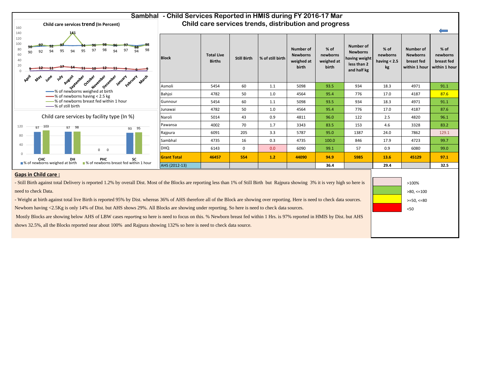

**% of newborns having < 2.5 kg**

**Number of Newborns breast fed within 1 hour**

>80, <=100 >=50, <=80 <50

>100%

**% of newborns breast fed within 1 hour**

 $\Longleftarrow$ 

#### **Gaps in Child care :**

- Still Birth against total Delivery is reported 1.2% by overall Dist. Most of the Blocks are reporting less than 1% of Still Birth but Rajpura showing 3% it is very high so here is need to check Data.

- Weight at birth against total live Birth is reported 95% by Dist. whereas 36% of AHS therefore all of the Block are showing over reporting. Here is need to check data sources.

Newborn having <2.5Kg is only 14% of Dist. but AHS shows 29%. All Blocks are showing under reporting. So here is need to check data sources.

Mostly Blocks are showing below AHS of LBW cases reporting so here is need to focus on this. % Newborn breast fed within 1 Hrs. is 97% reported in HMIS by Dist. but AHS

shows 32.5%, all the Blocks reported near about 100% and Rajpura showing 132% so here is need to check data source.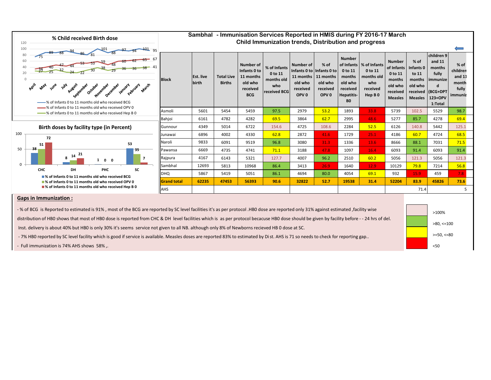

>100% >80, <=100 >=50, <=80

<50

**Gaps in Immunization :**

- % of BCG is Reported to estimated is 91%, most of the BCG are reported by SC level facilities it's as per protocol .HB0 dose are reported only 31% against estimated ,facility wise

distribution of HB0 shows that most of HB0 dose is reported from CHC & DH level facilities which is as per protocol becacuse HB0 dose should be given by facility before - - 24 hrs of del.

Inst. delivery is about 40% but HB0 is only 30% it's seems service not given to all NB. although only 8% of Newborns recieved HB 0 dose at SC.

- 7% HB0 reported by SC level facility which is good if service is available. Measles doses are reported 83% to estimated by Dist. AHS is 71 so needs to check for reporting gap..

- Full immunization is 74% AHS shows 58% ,.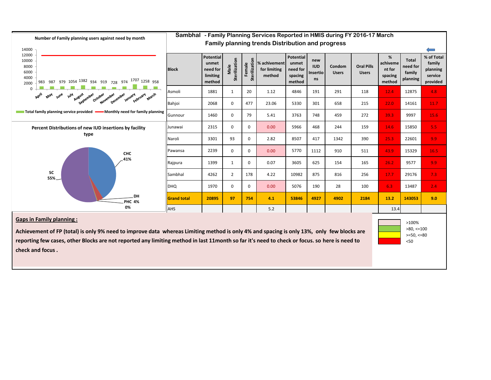

#### **Gaps in Family planning :**

**Achievement of FP (total) is only 9% need to improve data whereas Limiting method is only 4% and spacing is only 13%, only few blocks are reporting few cases, other Blocks are not reported any limiting method in last 11month so far it's need to check or focus. so here is need to check and focus .**

<50 >100%  $>80, \le 100$  $>=50, <=80$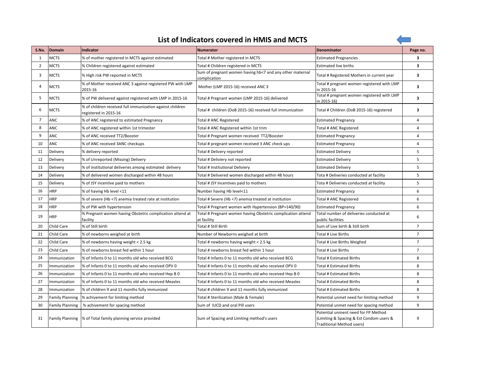|--|

 $\overline{\phantom{a}}$ 

| S.No.          | Domain                 | <b>Indicator</b>                                                                   | <b>Numerator</b>                                                           | <b>Denominator</b>                                                                                           | Page no.                |
|----------------|------------------------|------------------------------------------------------------------------------------|----------------------------------------------------------------------------|--------------------------------------------------------------------------------------------------------------|-------------------------|
| 1              | <b>MCTS</b>            | % of mother registered in MCTS against estimated                                   | Total # Mother registered in MCTS                                          | <b>Estimated Pregnancies</b>                                                                                 | 3                       |
| $\overline{2}$ | <b>MCTS</b>            | % Children registered against estimated                                            | Total # Children registered in MCTS                                        | <b>Estimated live births</b>                                                                                 | $\overline{\mathbf{3}}$ |
| 3              | <b>MCTS</b>            | % High risk PW reported in MCTS                                                    | Sum of pregnant women having hb<7 and any other maternal<br>complication   | Total # Registered Mothers in current year                                                                   | $\overline{\mathbf{3}}$ |
| 4              | <b>MCTS</b>            | % of Mother received ANC 3 against registered PW with LMP<br>2015-16               | Mother (LMP 2015-16) received ANC 3                                        | Total # pregnant women registered with LMP<br>in 2015-16                                                     | 3                       |
| 5              | <b>MCTS</b>            | % of PW delivered against registered with LMP in 2015-16                           | Total # Pregnant women (LMP 2015-16) delivered                             | Total # pregnant women registered with LMP<br>in 2015-16)                                                    | 3                       |
| 6              | <b>MCTS</b>            | % of children received full immunization against children<br>registered in 2015-16 | Total # children (DoB 2015-16) received full immunization                  | Total # Children (DoB 2015-16) registered                                                                    | 3                       |
| $\overline{7}$ | <b>ANC</b>             | % of ANC registered to estimated Pregnancy                                         | Total # ANC Registered                                                     | <b>Estimated Pregnancy</b>                                                                                   | 4                       |
| 8              | ANC                    | % of ANC registered within 1st trimester                                           | Total # ANC Registered within 1st trim                                     | Total # ANC Registered                                                                                       | 4                       |
| 9              | ANC                    | % of ANC received TT2/Booster                                                      | Total # Pregnant women received TT2/Booster                                | <b>Estimated Pregnancy</b>                                                                                   | $\overline{4}$          |
| 10             | <b>ANC</b>             | % of ANC received 3ANC checkups                                                    | Total # pregnant women received 3 ANC check ups                            | <b>Estimated Pregnancy</b>                                                                                   | $\overline{4}$          |
| 11             | Delivery               | % delivery reported                                                                | Total # Delivery reported                                                  | <b>Estimated Delivery</b>                                                                                    | 5                       |
| 12             | Delivery               | % of Unreported (Missing) Delivery                                                 | Total # Deliviery not reported                                             | <b>Estimated Delivery</b>                                                                                    | 5                       |
| 13             | Delivery               | % of institutional deliveries among estimated delivery                             | Total # Institutional Deliviery                                            | <b>Estimated Delivery</b>                                                                                    | 5                       |
| 14             | Delivery               | % of delivered women discharged within 48 hours                                    | Total # Delivered women discharged within 48 hours                         | Tota # Deliveries conducted at facility                                                                      | 5                       |
| 15             | Delivery               | % of JSY incentive paid to mothers                                                 | Total # JSY Incentives paid to mothers                                     | Tota # Deliveries conducted at facility                                                                      | 5                       |
| 16             | <b>HRP</b>             | % of having Hb level <11                                                           | Number having Hb level<11                                                  | <b>Estimated Pregnancy</b>                                                                                   | 6                       |
| 17             | <b>HRP</b>             | % of severe (Hb <7) anemia treated rate at institution                             | Total # Severe (Hb <7) anemia treated at institution                       | Total # ANC Registered                                                                                       | 6                       |
| 18             | <b>HRP</b>             | % of PW with hypertension                                                          | Total # Pregnant women with Hypertension (BP>140/90)                       | <b>Estimated Pregnancy</b>                                                                                   | 6                       |
| 19             | <b>HRP</b>             | % Pregnant women having Obstetric complication attend at<br>facility               | Total # Pregnant women having Obstetric complication attend<br>at facility | Total number of deliveries conducted at<br>public facilities                                                 | 6                       |
| 20             | Child Care             | % of Still birth                                                                   | Total # Still Birth                                                        | Sum of Live birth & Still birth                                                                              | $\overline{7}$          |
| 21             | <b>Child Care</b>      | % of newborns weighed at birth                                                     | Number of Newborns weighed at birth                                        | Total # Live Births                                                                                          | $\overline{7}$          |
| 22             | Child Care             | % of newborns having weight < 2.5 kg                                               | Total # newborns having weight < 2.5 kg                                    | Total # Live Births Weighed                                                                                  | $\overline{7}$          |
| 23             | Child Care             | % of newborns breast fed within 1 hour                                             | Total # newborns breast fed within 1 hour                                  | Total # Live Births                                                                                          | $\overline{7}$          |
| 24             | Immunization           | % of Infants 0 to 11 months old who received BCG                                   | Total # Infants 0 to 11 months old who received BCG                        | Total # Estimated Births                                                                                     | 8                       |
| 25             | Immunization           | % of Infants 0 to 11 months old who received OPV 0                                 | Total # Infants 0 to 11 months old who received OPV 0                      | Total # Estimated Births                                                                                     | 8                       |
| 26             | Immunization           | % of Infants 0 to 11 months old who received Hep B 0                               | Total # Infants 0 to 11 months old who received Hep B 0                    | Total # Estimated Births                                                                                     | 8                       |
| 27             | Immunization           | % of Infants 0 to 11 months old who received Measles                               | Total # Infants 0 to 11 months old who received Measles                    | <b>Total # Estimated Births</b>                                                                              | 8                       |
| 28             | Immunization           | % of children 9 and 11 months fully immunized                                      | Total # children 9 and 11 months fully immunized                           | <b>Total # Estimated Births</b>                                                                              | 8                       |
| 29             | <b>Family Planning</b> | % achivement for limiting method                                                   | Total # Sterilization (Male & Female)                                      | Potential unmet need for limiting method                                                                     | 9                       |
| 30             | <b>Family Planning</b> | % achivement for spacing method                                                    | Sum of IUCD and oral Pill users                                            | Potential unmet need for spacing method                                                                      | 9                       |
| 31             |                        | Family Planning  % of Total family planning service provided                       | Sum of Spacing and Limiting method's users                                 | Potential unment need for FP Method<br>(Limiting & Spacing & Est Condom users &<br>Traditional Method users) | 9                       |